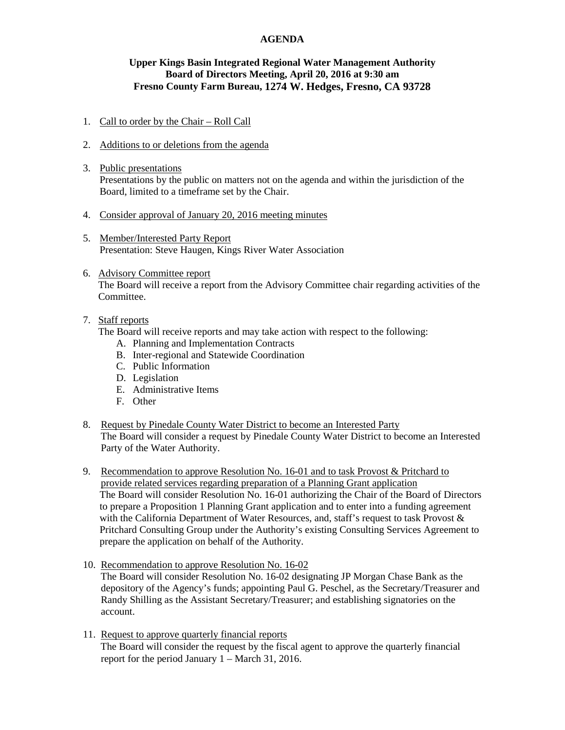### **AGENDA**

# **Upper Kings Basin Integrated Regional Water Management Authority Board of Directors Meeting, April 20, 2016 at 9:30 am Fresno County Farm Bureau, 1274 W. Hedges, Fresno, CA 93728**

- 1. Call to order by the Chair Roll Call
- 2. Additions to or deletions from the agenda
- 3. Public presentations Presentations by the public on matters not on the agenda and within the jurisdiction of the Board, limited to a timeframe set by the Chair.
- 4. Consider approval of January 20, 2016 meeting minutes
- 5. Member/Interested Party Report Presentation: Steve Haugen, Kings River Water Association
- 6. Advisory Committee report The Board will receive a report from the Advisory Committee chair regarding activities of the Committee.

# 7. Staff reports

The Board will receive reports and may take action with respect to the following:

- A. Planning and Implementation Contracts
- B. Inter-regional and Statewide Coordination
- C. Public Information
- D. Legislation
- E. Administrative Items
- F. Other
- 8. Request by Pinedale County Water District to become an Interested Party The Board will consider a request by Pinedale County Water District to become an Interested Party of the Water Authority.
- 9. Recommendation to approve Resolution No. 16-01 and to task Provost & Pritchard to provide related services regarding preparation of a Planning Grant application The Board will consider Resolution No. 16-01 authorizing the Chair of the Board of Directors to prepare a Proposition 1 Planning Grant application and to enter into a funding agreement with the California Department of Water Resources, and, staff's request to task Provost & Pritchard Consulting Group under the Authority's existing Consulting Services Agreement to prepare the application on behalf of the Authority.
- 10. Recommendation to approve Resolution No. 16-02 The Board will consider Resolution No. 16-02 designating JP Morgan Chase Bank as the depository of the Agency's funds; appointing Paul G. Peschel, as the Secretary/Treasurer and Randy Shilling as the Assistant Secretary/Treasurer; and establishing signatories on the account.
- 11. Request to approve quarterly financial reports The Board will consider the request by the fiscal agent to approve the quarterly financial report for the period January 1 – March 31, 2016.